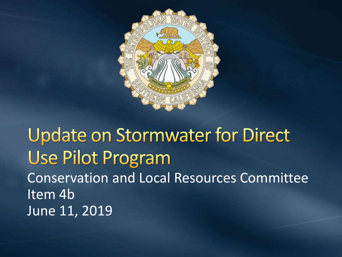

**Update on Stormwater for Direct** Use Pilot Program Conservation and Local Resources Committee Item 4b June 11, 2019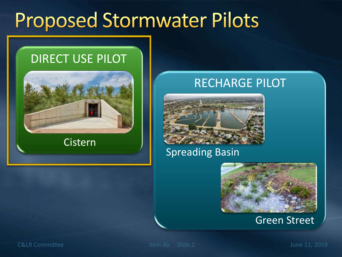### **Proposed Stormwater Pilots**

#### DIRECT USE PILOT



Cistern

#### RECHARGE PILOT



#### Spreading Basin



Green Street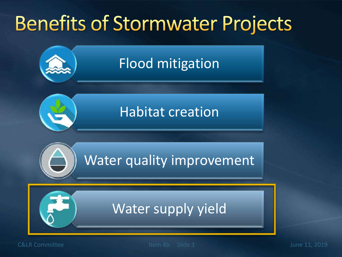# **Benefits of Stormwater Projects**



C&LR Committee Item 4b Slide 3 June 11, 2019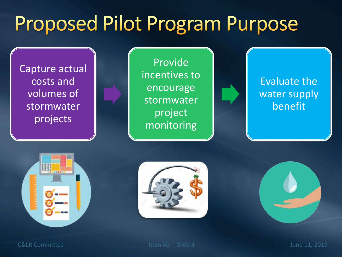# **Proposed Pilot Program Purpose**

Capture actual costs and volumes of stormwater projects

Provide incentives to encourage stormwater project monitoring

Evaluate the water supply benefit







C&LR Committee Item 4b Slide 4 June 11, 2019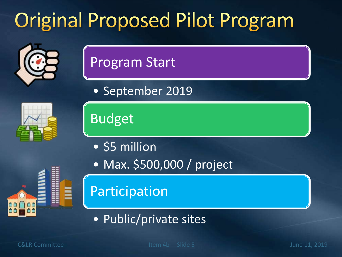# **Original Proposed Pilot Program**



#### Program Start

• September 2019

Budget

- \$5 million
- Max. \$500,000 / project

Participation

• Public/private sites

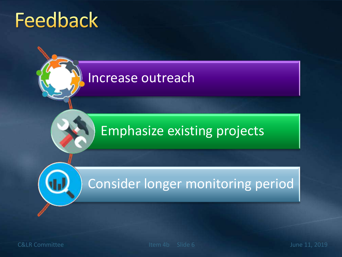### **Feedback**

#### Increase outreach

#### Emphasize existing projects

#### Consider longer monitoring period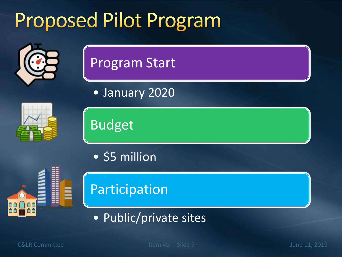# **Proposed Pilot Program**



#### Program Start

• January 2020





• \$5 million

Budget





• Public/private sites

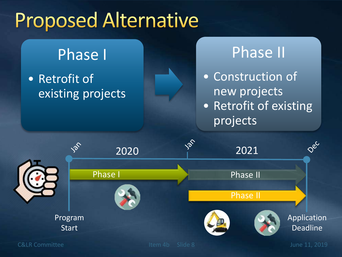## **Proposed Alternative**

#### Phase I

• Retrofit of existing projects

### Phase II • Construction of new projects • Retrofit of existing projects

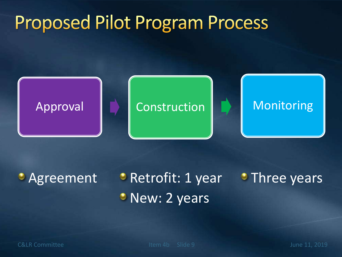### **Proposed Pilot Program Process**



## **Agreement Pretrofit: 1 year**

• New: 2 years **Three years**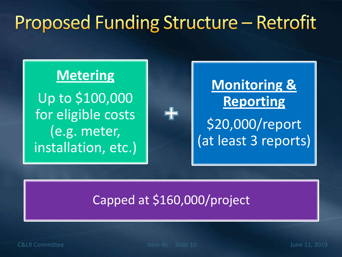### Proposed Funding Structure - Retrofit

#### **Metering**

Up to \$100,000 for eligible costs (e.g. meter, installation, etc.)

### **Monitoring & Reporting** \$20,000/report (at least 3 reports)

#### Capped at \$160,000/project

42

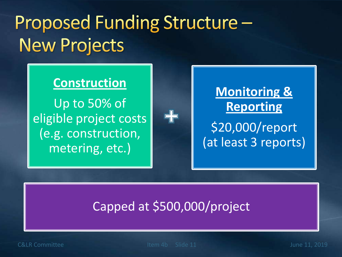### Proposed Funding Structure -**New Projects**

#### **Construction**

Up to 50% of eligible project costs (e.g. construction, metering, etc.)



#### Capped at \$500,000/project

╬

C&LR Committee Item 4b Slide 11 June 11, 2019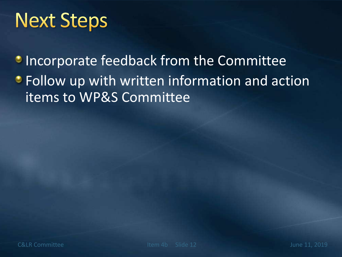### **Next Steps**

**Incorporate feedback from the Committee • Follow up with written information and action** items to WP&S Committee